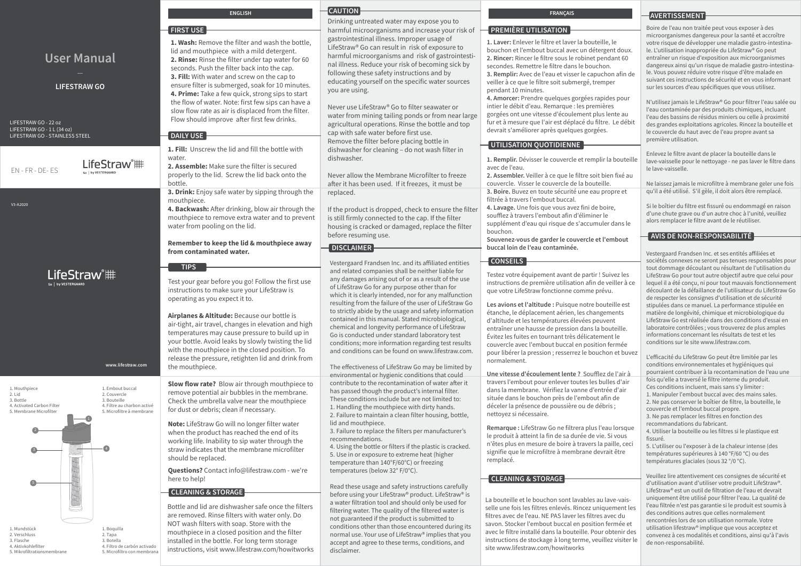|                                                                                                   |                                                                                                              | <b>ENGLISH</b>                                                                                                                                                                                                                                                                                                                                                     | <b>CAUTION</b>                                                                                                                                                                                                                                                                                                                                                                                                                                                                                                                                                                                                    | <b>FRANÇAIS</b>                                                                                                                                                                                                                                                                                                                                                                                                                                                 | AVERTISSEMENT                                                                                                                                                                                                                                                                                                                                                                                                                                                                                                                                                                                                                                                                                                        |
|---------------------------------------------------------------------------------------------------|--------------------------------------------------------------------------------------------------------------|--------------------------------------------------------------------------------------------------------------------------------------------------------------------------------------------------------------------------------------------------------------------------------------------------------------------------------------------------------------------|-------------------------------------------------------------------------------------------------------------------------------------------------------------------------------------------------------------------------------------------------------------------------------------------------------------------------------------------------------------------------------------------------------------------------------------------------------------------------------------------------------------------------------------------------------------------------------------------------------------------|-----------------------------------------------------------------------------------------------------------------------------------------------------------------------------------------------------------------------------------------------------------------------------------------------------------------------------------------------------------------------------------------------------------------------------------------------------------------|----------------------------------------------------------------------------------------------------------------------------------------------------------------------------------------------------------------------------------------------------------------------------------------------------------------------------------------------------------------------------------------------------------------------------------------------------------------------------------------------------------------------------------------------------------------------------------------------------------------------------------------------------------------------------------------------------------------------|
|                                                                                                   |                                                                                                              | <b>FIRST USE</b>                                                                                                                                                                                                                                                                                                                                                   | Drinking untreated water may expose you to<br>harmful microorganisms and increase your risk of                                                                                                                                                                                                                                                                                                                                                                                                                                                                                                                    | <b>PREMIÈRE UTILISATION</b>                                                                                                                                                                                                                                                                                                                                                                                                                                     | Boire de l'eau non traitée peut vous exposer à des<br>microorganismes dangereux pour la santé et accroître                                                                                                                                                                                                                                                                                                                                                                                                                                                                                                                                                                                                           |
| <b>User Manual</b><br><b>LIFESTRAW GO</b>                                                         |                                                                                                              | 1. Wash: Remove the filter and wash the bottle,<br>lid and mouthpiece with a mild detergent.<br>2. Rinse: Rinse the filter under tap water for 60<br>seconds. Push the filter back into the cap.<br>3. Fill: With water and screw on the cap to<br>ensure filter is submerged, soak for 10 minutes.                                                                | gastrointestinal illness. Improper usage of<br>LifeStraw® Go can result in risk of exposure to<br>harmful microorganisms and risk of gastrointesti-<br>nal illness. Reduce your risk of becoming sick by<br>following these safety instructions and by<br>educating yourself on the specific water sources<br>you are using.                                                                                                                                                                                                                                                                                      | 1. Laver: Enlever le filtre et laver la bouteille, le<br>bouchon et l'embout buccal avec un détergent doux.<br>2. Rincer: Rincer le filtre sous le robinet pendant 60<br>secondes. Remettre le filtre dans le bouchon.<br>3. Remplir: Avec de l'eau et visser le capuchon afin de<br>veiller à ce que le filtre soit submergé, tremper<br>pendant 10 minutes.                                                                                                   | votre risque de développer une maladie gastro-intestina-<br>le. L'utilisation inappropriée du LifeStraw® Go peut<br>entraîner un risque d'exposition aux microorganismes<br>dangereux ainsi qu'un risque de maladie gastro-intestina-<br>le. Vous pouvez réduire votre risque d'être malade en<br>suivant ces instructions de sécurité et en vous informant<br>sur les sources d'eau spécifiques que vous utilisez.                                                                                                                                                                                                                                                                                                  |
| LIFESTRAW GO - 22 oz<br>LIFESTRAW GO - 1 L (34 oz)<br>LIFESTRAW GO - STAINLESS STEEL              |                                                                                                              | 4. Prime: Take a few quick, strong sips to start<br>the flow of water. Note: first few sips can have a<br>slow flow rate as air is displaced from the filter.<br>Flow should improve after first few drinks.<br><b>DAILY USE</b>                                                                                                                                   | Never use LifeStraw® Go to filter seawater or<br>water from mining tailing ponds or from near large<br>agricultural operations. Rinse the bottle and top<br>cap with safe water before first use.<br>Remove the filter before placing bottle in                                                                                                                                                                                                                                                                                                                                                                   | 4. Amorcer: Prendre quelques gorgées rapides pour<br>intier le débit d'eau. Remarque : les premières<br>gorgées ont une vitesse d'écoulement plus lente au<br>fur et à mesure que l'air est déplacé du filtre. Le débit<br>devrait s'améliorer après quelques gorgées.<br>UTILISATION QUOTIDIENNE                                                                                                                                                               | N'utilisez jamais le LifeStraw® Go pour filtrer l'eau salée ou<br>l'eau contaminée par des produits chimiques, incluant<br>l'eau des bassins de résidus miniers ou celle à proximité<br>des grandes exploitations agricoles. Rincez la bouteille et<br>le couvercle du haut avec de l'eau propre avant sa<br>première utilisation.                                                                                                                                                                                                                                                                                                                                                                                   |
| EN-FR-DE-ES                                                                                       | LifeStraw®##                                                                                                 | 1. Fill: Unscrew the lid and fill the bottle with<br>water.<br>2. Assemble: Make sure the filter is secured<br>properly to the lid. Screw the lid back onto the<br>bottle.<br><b>3. Drink:</b> Enjoy safe water by sipping through the                                                                                                                             | dishwasher for cleaning - do not wash filter in<br>dishwasher.<br>Never allow the Membrane Microfilter to freeze<br>after it has been used. If it freezes, it must be                                                                                                                                                                                                                                                                                                                                                                                                                                             | 1. Remplir. Dévisser le couvercle et remplir la bouteille<br>avec de l'eau.<br>2. Assembler. Veiller à ce que le filtre soit bien fixé au<br>couvercle. Visser le couvercle de la bouteille.<br>3. Boire. Buvez en toute sécurité une eau propre et                                                                                                                                                                                                             | Enlevez le filtre avant de placer la bouteille dans le<br>lave-vaisselle pour le nettoyage - ne pas laver le filtre dans<br>le lave-vaisselle.<br>Ne laissez jamais le microfiltre à membrane geler une fois<br>qu'il a été utilisé. S'il gèle, il doit alors être remplacé.                                                                                                                                                                                                                                                                                                                                                                                                                                         |
| V3-A2020                                                                                          |                                                                                                              | mouthpiece.<br>4. Backwash: After drinking, blow air through the<br>mouthpiece to remove extra water and to prevent<br>water from pooling on the lid.                                                                                                                                                                                                              | replaced.<br>If the product is dropped, check to ensure the filter<br>is still firmly connected to the cap. If the filter<br>housing is cracked or damaged, replace the filter<br>before resuming use.                                                                                                                                                                                                                                                                                                                                                                                                            | filtrée à travers l'embout buccal.<br>4. Lavage. Une fois que vous avez fini de boire,<br>soufflez à travers l'embout afin d'éliminer le<br>supplément d'eau qui risque de s'accumuler dans le<br>bouchon.                                                                                                                                                                                                                                                      | Si le boîtier du filtre est fissuré ou endommagé en raison<br>d'une chute grave ou d'un autre choc à l'unité, veuillez<br>alors remplacer le filtre avant de le réutiliser.<br><b>AVIS DE NON-RESPONSABILITÉ</b>                                                                                                                                                                                                                                                                                                                                                                                                                                                                                                     |
|                                                                                                   |                                                                                                              | Remember to keep the lid & mouthpiece away<br>from contaminated water.                                                                                                                                                                                                                                                                                             | <b>DISCLAIMER</b>                                                                                                                                                                                                                                                                                                                                                                                                                                                                                                                                                                                                 | Souvenez-vous de garder le couvercle et l'embout<br>buccal loin de l'eau contaminée.                                                                                                                                                                                                                                                                                                                                                                            | Vestergaard Frandsen Inc. et ses entités affiliées et                                                                                                                                                                                                                                                                                                                                                                                                                                                                                                                                                                                                                                                                |
| LifeStraw <sup>®</sup> ##<br>Go   by VESTERGAARD<br>www.lifestraw.com                             |                                                                                                              | <b>TIPS</b><br>Test your gear before you go! Follow the first use<br>instructions to make sure your LifeStraw is<br>operating as you expect it to.<br>Airplanes & Altitude: Because our bottle is<br>air-tight, air travel, changes in elevation and high<br>temperatures may cause pressure to build up in<br>your bottle. Avoid leaks by slowly twisting the lid | Vestergaard Frandsen Inc. and its affiliated entities<br>and related companies shall be neither liable for<br>any damages arising out of or as a result of the use<br>of LifeStraw Go for any purpose other than for<br>which it is clearly intended, nor for any malfunction<br>resulting from the failure of the user of LifeStraw Go<br>to strictly abide by the usage and safety information<br>contained in this manual. Stated microbiological,<br>chemical and longevity performance of LifeStraw<br>Go is conducted under standard laboratory test<br>conditions; more information regarding test results | <b>CONSEILS</b><br>Testez votre équipement avant de partir ! Suivez les<br>instructions de première utilisation afin de veiller à ce<br>que votre LifeStraw fonctionne comme prévu.<br>Les avions et l'altitude : Puisque notre bouteille est<br>étanche, le déplacement aérien, les changements<br>d'altitude et les températures élevées peuvent<br>entraîner une hausse de pression dans la bouteille.<br>Évitez les fuites en tournant très délicatement le | sociétés connexes ne seront pas tenues responsables pour<br>tout dommage découlant ou résultant de l'utilisation du<br>LifeStraw Go pour tout autre objectif autre que celui pour<br>lequel il a été conçu, ni pour tout mauvais fonctionnement<br>découlant de la défaillance de l'utilisateur du LifeStraw Go<br>de respecter les consignes d'utilisation et de sécurité<br>stipulées dans ce manuel. La performance stipulée en<br>matière de longévité, chimique et microbiologique du<br>LifeStraw Go est réalisée dans des conditions d'essai en<br>laboratoire contrôlées; vous trouverez de plus amples<br>informations concernant les résultats de test et les<br>conditions sur le site www.lifestraw.com. |
|                                                                                                   |                                                                                                              | with the mouthpiece in the closed position. To<br>release the pressure, retighten lid and drink from<br>the mouthpiece.                                                                                                                                                                                                                                            | and conditions can be found on www.lifestraw.com.<br>The effectiveness of LifeStraw Go may be limited by                                                                                                                                                                                                                                                                                                                                                                                                                                                                                                          | couvercle avec l'embout buccal en position fermée<br>pour libérer la pression ; resserrez le bouchon et buvez<br>normalement.<br>Une vitesse d'écoulement lente ? Soufflez de l'air à                                                                                                                                                                                                                                                                           | L'efficacité du LifeStraw Go peut être limitée par les<br>conditions environnementales et hygiéniques qui<br>pourraient contribuer à la recontamination de l'eau une                                                                                                                                                                                                                                                                                                                                                                                                                                                                                                                                                 |
| 1. Mouthpiece<br>2. Lid<br>3. Bottle<br>4. Activated Carbon Filter<br>5. Membrane Microfilter     | 1. Embout buccal<br>2. Couvercle<br>3. Bouteille<br>4. Filtre au charbon activé<br>5. Microfiltre à membrane | Slow flow rate? Blow air through mouthpiece to<br>remove potential air bubbles in the membrane.<br>Check the umbrella valve near the mouthpiece<br>for dust or debris; clean if necessary.<br>Note: LifeStraw Go will no longer filter water                                                                                                                       | environmental or hygienic conditions that could<br>contribute to the recontamination of water after it<br>has passed though the product's internal filter.<br>These conditions include but are not limited to:<br>1. Handling the mouthpiece with dirty hands.<br>2. Failure to maintain a clean filter housing, bottle,<br>lid and mouthpiece.                                                                                                                                                                                                                                                                   | travers l'embout pour enlever toutes les bulles d'air<br>dans la membrane. Vérifiez la vanne d'entrée d'air<br>située dans le bouchon près de l'embout afin de<br>déceler la présence de poussière ou de débris ;<br>nettoyez si nécessaire.                                                                                                                                                                                                                    | fois qu'elle a traversé le filtre interne du produit.<br>Ces conditions incluent, mais sans s'y limiter :<br>1. Manipuler l'embout buccal avec des mains sales.<br>2. Ne pas conserver le boîtier de filtre, la bouteille, le<br>couvercle et l'embout buccal propre.<br>3. Ne pas remplacer les filtres en fonction des<br>recommandations du fabricant.                                                                                                                                                                                                                                                                                                                                                            |
|                                                                                                   |                                                                                                              | when the product has reached the end of its<br>working life. Inability to sip water through the<br>straw indicates that the membrane microfilter<br>should be replaced.<br><b>Questions?</b> Contact info@lifestraw.com - we're                                                                                                                                    | 3. Failure to replace the filters per manufacturer's<br>recommendations.<br>4. Using the bottle or filters if the plastic is cracked.<br>5. Use in or exposure to extreme heat (higher<br>temperature than 140°F/60°C) or freezing<br>temperatures (below 32° F/0°C).                                                                                                                                                                                                                                                                                                                                             | Remarque : LifeStraw Go ne filtrera plus l'eau lorsque<br>le produit à atteint la fin de sa durée de vie. Si vous<br>n'êtes plus en mesure de boire à travers la paille, ceci<br>signifie que le microfiltre à membrane devrait être<br>remplacé.                                                                                                                                                                                                               | 4. Utiliser la bouteille ou les filtres si le plastique est<br>fissuré.<br>5. L'utiliser ou l'exposer à de la chaleur intense (des<br>températures supérieures à 140 °F/60 °C) ou des<br>températures glaciales (sous 32 °/0 °C).                                                                                                                                                                                                                                                                                                                                                                                                                                                                                    |
| 1. Mundstück<br>2. Verschluss<br>3. Flasche<br>4. Aktivkohlefilter<br>5. Mikrofiltrationsmembrane | 1. Boquilla<br>2. Tapa<br>3. Botella<br>4. Filtro de carbón activado<br>5. Microfiltro con membrana          | here to help!<br><b>CLEANING &amp; STORAGE</b><br>Bottle and lid are dishwasher safe once the filters<br>are removed. Rinse filters with water only. Do<br>NOT wash filters with soap. Store with the<br>mouthpiece in a closed position and the filter<br>installed in the bottle. For long term storage<br>instructions, visit www.lifestraw.com/howitworks      | Read these usage and safety instructions carefully<br>before using your LifeStraw® product. LifeStraw® is<br>a water filtration tool and should only be used for<br>filtering water. The quality of the filtered water is<br>not guaranteed if the product is submitted to<br>conditions other than those encountered during its<br>normal use. Your use of LifeStraw® implies that you<br>accept and agree to these terms, conditions, and<br>disclaimer.                                                                                                                                                        | <b>CLEANING &amp; STORAGE</b><br>La bouteille et le bouchon sont lavables au lave-vais-<br>selle une fois les filtres enlevés. Rincez uniquement les<br>filtres avec de l'eau. NE PAS laver les filtres avec du<br>savon. Stocker l'embout buccal en position fermée et<br>avec le filtre installé dans la bouteille. Pour obtenir des<br>instructions de stockage à long terme, veuillez visiter le<br>site www.lifestraw.com/howitworks                       | Veuillez lire attentivement ces consignes de sécurité et<br>d'utilisation avant d'utiliser votre produit LifeStraw®.<br>LifeStraw® est un outil de filtration de l'eau et devrait<br>uniquement être utilisé pour filtrer l'eau. La qualité de<br>l'eau filtrée n'est pas garantie si le produit est soumis à<br>des conditions autres que celles normalement<br>rencontrées lors de son utilisation normale. Votre<br>utilisation lifestraw® implique que vous acceptez et<br>convenez à ces modalités et conditions, ainsi qu'à l'avis<br>de non-responsabilité.                                                                                                                                                   |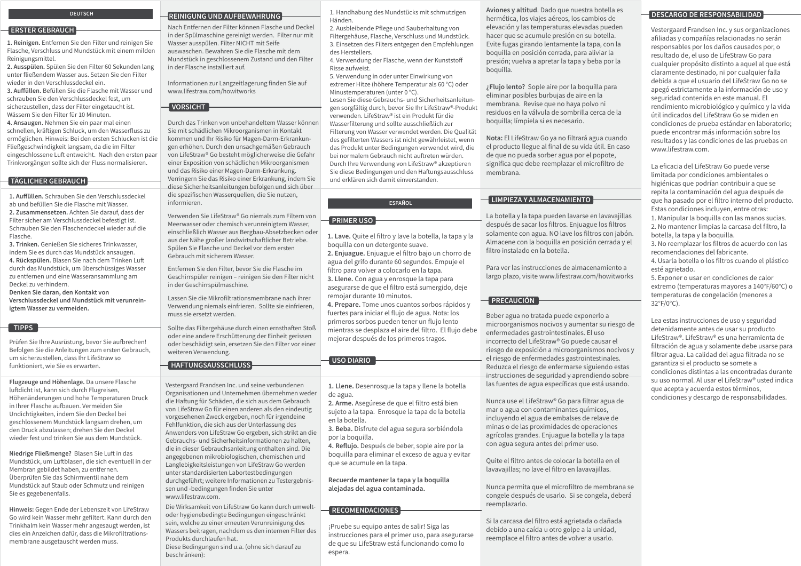#### **DEUTSCH**

#### **ERSTER GEBRAUCH**

**1. Reinigen.** Entfernen Sie den Filter und reinigen Sie Flasche, Verschluss und Mundstück mit einem milden Reinigungsmittel.

**2. Ausspülen.** Spülen Sie den Filter 60 Sekunden lang unter fließendem Wasser aus. Setzen Sie den Filter wieder in den Verschlussdeckel ein.

**3. Auffüllen.** Befüllen Sie die Flasche mit Wasser und schrauben Sie den Verschlussdeckel fest, um sicherzustellen, dass der Filter eingetaucht ist. Wässern Sie den Filter für 10 Minuten.

**4. Ansaugen.** Nehmen Sie ein paar mal einen schnellen, kräftigen Schluck, um den Wasserfluss zu ermöglichen. Hinweis: Bei den ersten Schlucken ist die Fließgeschwindigkeit langsam, da die im Filter eingeschlossene Luft entweicht. Nach den ersten paar Trinkvorgängen sollte sich der Fluss normalisieren.

# **TÄGLICHER GEBRAUCH**

**1. Auffüllen.** Schrauben Sie den Verschlussdeckel ab und befüllen Sie die Flasche mit Wasser. **2. Zusammensetzen.** Achten Sie darauf, dass der Filter sicher am Verschlussdeckel befestigt ist. Schrauben Sie den Flaschendeckel wieder auf die Flasche.

**3. Trinken.** Genießen Sie sicheres Trinkwasser, indem Sie es durch das Mundstück ansaugen. **4. Rückspülen.** Blasen Sie nach dem Trinken Luft durch das Mundstück, um überschüssiges Wasser zu entfernen und eine Wasseransammlung am Deckel zu verhindern.

**Denken Sie daran, den Kontakt von Verschlussdeckel und Mundstück mit verunreinigtem Wasser zu vermeiden.**

#### **TIPPS**

Prüfen Sie Ihre Ausrüstung, bevor Sie aufbrechen! Befolgen Sie die Anleitungen zum ersten Gebrauch, um sicherzustellen, dass Ihr LifeStraw so funktioniert, wie Sie es erwarten.

**Flugzeuge und Höhenlage.** Da unsere Flasche luftdicht ist, kann sich durch Flugreisen, Höhenänderungen und hohe Temperaturen Druck in Ihrer Flasche aufbauen. Vermeiden Sie Undichtigkeiten, indem Sie den Deckel bei geschlossenem Mundstück langsam drehen, um den Druck abzulassen; drehen Sie den Deckel wieder fest und trinken Sie aus dem Mundstück.

**Niedrige Fließmenge?** Blasen Sie Luft in das Mundstück, um Luftblasen, die sich eventuell in der Membran gebildet haben, zu entfernen. Überprüfen Sie das Schirmventil nahe dem Mundstück auf Staub oder Schmutz und reinigen Sie es gegebenenfalls.

**Hinweis:** Gegen Ende der Lebenszeit von LifeStraw Go wird kein Wasser mehr gefiltert. Kann durch den Trinkhalm kein Wasser mehr angesaugt werden, ist dies ein Anzeichen dafür, dass die Mikrofiltrationsmembrane ausgetauscht werden muss.

#### **REINIGUNG UND AUFBEWAHRUNG**

Nach Entfernen der Filter können Flasche und Deckel in der Spülmaschine gereinigt werden. Filter nur mit Wasser ausspülen. Filter NICHT mit Seife auswaschen. Bewahren Sie die Flasche mit dem Mundstück in geschlossenem Zustand und den Filter in der Flasche installiert auf.

Informationen zur Langzeitlagerung finden Sie auf www.lifestraw.com/howitworks

# **VORSICHT**

Durch das Trinken von unbehandeltem Wasser können Sie mit schädlichen Mikroorganismen in Kontakt kommen und Ihr Risiko für Magen-Darm-Erkrankungen erhöhen. Durch den unsachgemäßen Gebrauch von LifeStraw® Go besteht möglicherweise die Gefahr einer Exposition von schädlichen Mikroorganismen und das Risiko einer Magen-Darm-Erkrankung. Verringern Sie das Risiko einer Erkrankung, indem Sie diese Sicherheitsanleitungen befolgen und sich über die spezifischen Wasserquellen, die Sie nutzen, informieren.

Verwenden Sie LifeStraw® Go niemals zum Filtern von Meerwasser oder chemisch verunreinigtem Wasser, einschließlich Wasser aus Bergbau-Absetzbecken oder aus der Nähe großer landwirtschaftlicher Betriebe. Spülen Sie Flasche und Deckel vor dem ersten Gebrauch mit sicherem Wasser.

Entfernen Sie den Filter, bevor Sie die Flasche im Geschirrspüler reinigen – reinigen Sie den Filter nicht in der Geschirrspülmaschine.

Lassen Sie die Mikrofiltrationsmembrane nach ihrer Verwendung niemals einfrieren. Sollte sie einfrieren, muss sie ersetzt werden.

Sollte das Filtergehäuse durch einen ernsthaften Stoß oder eine andere Erschütterung der Einheit gerissen oder beschädigt sein, ersetzen Sie den Filter vor einer weiteren Verwendung.

# **HAFTUNGSAUSSCHLUSS**

Vestergaard Frandsen Inc. und seine verbundenen Organisationen und Unternehmen übernehmen weder die Haftung für Schäden, die sich aus dem Gebrauch von LifeStraw Go für einen anderen als den eindeutig vorgesehenen Zweck ergeben, noch für irgendeine Fehlfunktion, die sich aus der Unterlassung des Anwenders von LifeStraw Go ergeben, sich strikt an die Gebrauchs- und Sicherheitsinformationen zu halten, die in dieser Gebrauchsanleitung enthalten sind. Die angegebenen mikrobiologischen, chemischen und Langlebigkeitsleistungen von LifeStraw Go werden unter standardisierten Labortestbedingungen durchgeführt; weitere Informationen zu Testergebnissen und -bedingungen finden Sie unter www.lifestraw.com.

Die Wirksamkeit von LifeStraw Go kann durch umweltoder hygienebedingte Bedingungen eingeschränkt sein, welche zu einer erneuten Verunreinigung des Wassers beitragen, nachdem es den internen Filter des Produkts durchlaufen hat. Diese Bedingungen sind u.a. (ohne sich darauf zu beschränken):

1. Handhabung des Mundstücks mit schmutzigen Händen.

- 2. Ausbleibende Pflege und Sauberhaltung von Filtergehäuse, Flasche, Verschluss und Mundstück. 3. Einsetzen des Filters entgegen den Empfehlungen des Herstellers.
- 4. Verwendung der Flasche, wenn der Kunststoff Risse aufweist.
- 5. Verwendung in oder unter Einwirkung von extremer Hitze (höhere Temperatur als 60 °C) oder Minustemperaturen (unter 0 °C). Lesen Sie diese Gebrauchs- und Sicherheitsanleitungen sorgfältig durch, bevor Sie Ihr LifeStraw®-Produkt
- verwenden. LifeStraw® ist ein Produkt für die Wasserfilterung und sollte ausschließlich zur Filterung von Wasser verwendet werden. Die Qualität des gefilterten Wassers ist nicht gewährleistet, wenn das Produkt unter Bedingungen verwendet wird, die bei normalem Gebrauch nicht auftreten würden. Durch Ihre Verwendung von LifeStraw® akzeptieren Sie diese Bedingungen und den Haftungsausschluss und erklären sich damit einverstanden.

### **ESPAÑOL**

#### **PRIMER USO**

**1. Lave.** Quite el filtro y lave la botella, la tapa y la boquilla con un detergente suave. **2. Enjuague.** Enjuague el filtro bajo un chorro de agua del grifo durante 60 segundos. Empuje el filtro para volver a colocarlo en la tapa. **3. Llene.** Con agua y enrosque la tapa para asegurarse de que el filtro está sumergido, deje remojar durante 10 minutos. **4. Prepare.** Tome unos cuantos sorbos rápidos y fuertes para iniciar el flujo de agua. Nota: los primeros sorbos pueden tener un flujo lento

mientras se desplaza el aire del filtro. El flujo debe mejorar después de los primeros tragos.

# **USO DIARIO**

- **1. Llene.** Desenrosque la tapa y llene la botella de agua.
- **2. Arme.** Asegúrese de que el filtro está bien sujeto a la tapa. Enrosque la tapa de la botella en la botella.
- **3. Beba.** Disfrute del agua segura sorbiéndola por la boquilla.
- **4. Reflujo.** Después de beber, sople aire por la boquilla para eliminar el exceso de agua y evitar que se acumule en la tapa.

**Recuerde mantener la tapa y la boquilla alejadas del agua contaminada.**

#### **RECOMENDACIONES**

¡Pruebe su equipo antes de salir! Siga las instrucciones para el primer uso, para asegurarse de que su LifeStraw está funcionando como lo espera.

des de la contrasta de la contrasta de la contrasta de la contrasta de **la contrasta de la contrasta de la contra**<br>
hermética, los viajes aéreos, los cambios de **Aviones y altitud**. Dado que nuestra botella es elevación y las temperaturas elevadas pueden hacer que se acumule presión en su botella. Evite fugas girando lentamente la tapa, con la boquilla en posición cerrada, para aliviar la presión; vuelva a apretar la tapa y beba por la boquilla.

> **¿Flujo lento?** Sople aire por la boquilla para eliminar posibles burbujas de aire en la membrana. Revise que no haya polvo ni residuos en la válvula de sombrilla cerca de la boquilla; límpiela si es necesario.

**Nota:** El LifeStraw Go ya no filtrará agua cuando el producto llegue al final de su vida útil. En caso de que no pueda sorber agua por el popote, significa que debe reemplazar el microfiltro de membrana.

# **LIMPIEZA Y ALMACENAMIENTO**

La botella y la tapa pueden lavarse en lavavajillas después de sacar los filtros. Enjuague los filtros solamente con agua. NO lave los filtros con jabón. Almacene con la boquilla en posición cerrada y el filtro instalado en la botella.

Para ver las instrucciones de almacenamiento a largo plazo, visite www.lifestraw.com/howitworks

## **PRECAUCIÓN**

Beber agua no tratada puede exponerlo a microorganismos nocivos y aumentar su riesgo de enfermedades gastrointestinales. El uso incorrecto del LifeStraw® Go puede causar el riesgo de exposición a microorganismos nocivos y el riesgo de enfermedades gastrointestinales. Reduzca el riesgo de enfermarse siguiendo estas instrucciones de seguridad y aprendiendo sobre las fuentes de agua específicas que está usando.

Nunca use el LifeStraw® Go para filtrar agua de mar o agua con contaminantes químicos, incluyendo el agua de embalses de relave de minas o de las proximidades de operaciones agrícolas grandes. Enjuague la botella y la tapa con agua segura antes del primer uso.

Quite el filtro antes de colocar la botella en el lavavajillas; no lave el filtro en lavavajillas.

Nunca permita que el microfiltro de membrana se congele después de usarlo. Si se congela, deberá reemplazarlo.

Si la carcasa del filtro está agrietada o dañada debido a una caída u otro golpe a la unidad, reemplace el filtro antes de volver a usarlo.

Vestergaard Frandsen Inc. y sus organizaciones afiliadas y compañías relacionadas no serán responsables por los daños causados por, o resultado de, el uso de LifeStraw Go para cualquier propósito distinto a aquel al que está claramente destinado, ni por cualquier falla debida a que el usuario del LifeStraw Go no se apegó estrictamente a la información de uso y seguridad contenida en este manual. El rendimiento microbiológico y químico y la vida útil indicados del LifeStraw Go se miden en condiciones de prueba estándar en laboratorio; puede encontrar más información sobre los resultados y las condiciones de las pruebas en www.lifestraw.com.

La eficacia del LifeStraw Go puede verse limitada por condiciones ambientales o higiénicas que podrían contribuir a que se repita la contaminación del agua después de que ha pasado por el filtro interno del producto. Estas condiciones incluyen, entre otras: 1. Manipular la boquilla con las manos sucias. 2. No mantener limpias la carcasa del filtro, la botella, la tapa y la boquilla. 3. No reemplazar los filtros de acuerdo con las recomendaciones del fabricante. 4. Usarla botella o los filtros cuando el plástico esté agrietado.

5. Exponer o usar en condiciones de calor extremo (temperaturas mayores a 140°F/60°C) o temperaturas de congelación (menores a 32°F/0°C).

Lea estas instrucciones de uso y seguridad detenidamente antes de usar su producto LifeStraw®. LifeStraw® es una herramienta de filtración de agua y solamente debe usarse para filtrar agua. La calidad del agua filtrada no se garantiza si el producto se somete a condiciones distintas a las encontradas durante su uso normal. Al usar el LifeStraw® usted indica que acepta y acuerda estos términos, condiciones y descargo de responsabilidades.